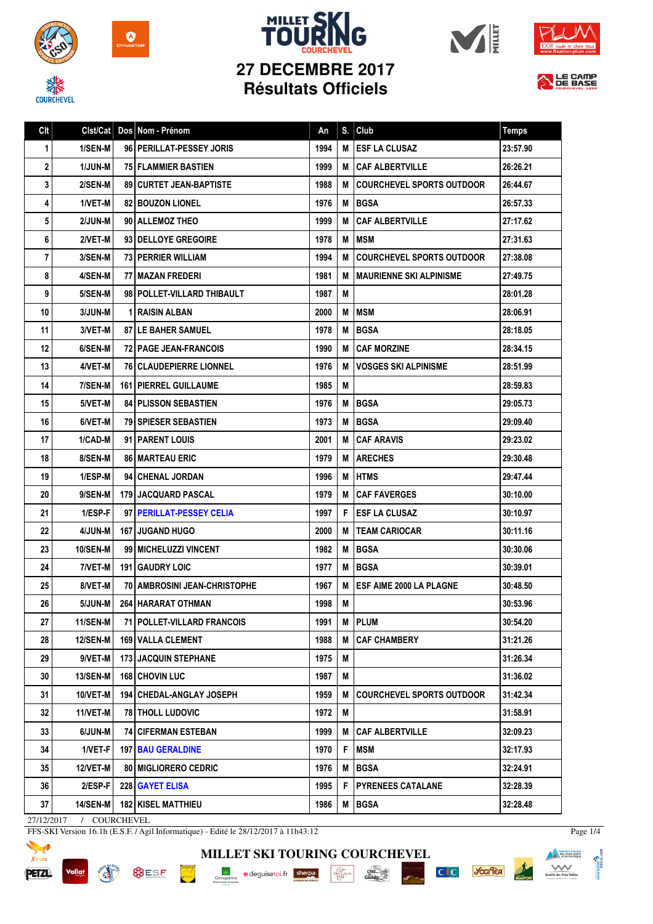

**COURCHEVEL** 













| Clt | Clst/Cat        | Dos Nom - Prénom               | An   | S. | Club                             | <b>Temps</b> |
|-----|-----------------|--------------------------------|------|----|----------------------------------|--------------|
| 1   | 1/SEN-M         | 96 PERILLAT-PESSEY JORIS       | 1994 | M  | <b>ESF LA CLUSAZ</b>             | 23:57.90     |
| 2   | 1/JUN-M         | <b>75 FLAMMIER BASTIEN</b>     | 1999 | м  | <b>CAF ALBERTVILLE</b>           | 26:26.21     |
| 3   | 2/SEN-M         | 89 CURTET JEAN-BAPTISTE        | 1988 | М  | <b>COURCHEVEL SPORTS OUTDOOR</b> | 26:44.67     |
| 4   | 1/VET-M         | <b>82 BOUZON LIONEL</b>        | 1976 | M  | <b>BGSA</b>                      | 26:57.33     |
| 5   | 2/JUN-M         | 90 ALLEMOZ THEO                | 1999 | M  | <b>CAF ALBERTVILLE</b>           | 27:17.62     |
| 6   | 2/VET-M         | 93 DELLOYE GREGOIRE            | 1978 | M  | <b>MSM</b>                       | 27:31.63     |
| 7   | 3/SEN-M         | <b>73 PERRIER WILLIAM</b>      | 1994 | М  | <b>COURCHEVEL SPORTS OUTDOOR</b> | 27:38.08     |
| 8   | 4/SEN-M         | 77   MAZAN FREDERI             | 1981 | М  | <b>IMAURIENNE SKI ALPINISME</b>  | 27:49.75     |
| 9   | 5/SEN-M         | 98   POLLET-VILLARD THIBAULT   | 1987 | M  |                                  | 28:01.28     |
| 10  | 3/JUN-M         | <b>1 RAISIN ALBAN</b>          | 2000 | M  | <b>MSM</b>                       | 28:06.91     |
| 11  | 3/VET-M         | 87 LE BAHER SAMUEL             | 1978 | M  | <b>BGSA</b>                      | 28:18.05     |
| 12  | 6/SEN-M         | <b>72 PAGE JEAN-FRANCOIS</b>   | 1990 | М  | <b>CAF MORZINE</b>               | 28:34.15     |
| 13  | 4/VET-M         | <b>76 CLAUDEPIERRE LIONNEL</b> | 1976 | M  | <b>VOSGES SKI ALPINISME</b>      | 28:51.99     |
| 14  | 7/SEN-M         | <b>161   PIERREL GUILLAUME</b> | 1985 | M  |                                  | 28:59.83     |
| 15  | 5/VET-M         | <b>84 PLISSON SEBASTIEN</b>    | 1976 | M  | <b>BGSA</b>                      | 29:05.73     |
| 16  | 6/VET-M         | <b>79 SPIESER SEBASTIEN</b>    | 1973 | M  | <b>BGSA</b>                      | 29:09.40     |
| 17  | 1/CAD-M         | 91   PARENT LOUIS              | 2001 | М  | <b>CAF ARAVIS</b>                | 29:23.02     |
| 18  | 8/SEN-M         | <b>86 MARTEAU ERIC</b>         | 1979 | M  | <b>ARECHES</b>                   | 29:30.48     |
| 19  | 1/ESP-M         | 94 CHENAL JORDAN               | 1996 | M  | <b>HTMS</b>                      | 29:47.44     |
| 20  | 9/SEN-M         | 179 JACQUARD PASCAL            | 1979 | M  | <b>CAF FAVERGES</b>              | 30:10.00     |
| 21  | 1/ESP-F         | 97 PERILLAT-PESSEY CELIA       | 1997 | F  | <b>ESF LA CLUSAZ</b>             | 30:10.97     |
| 22  | 4/JUN-M         | <b>167 JUGAND HUGO</b>         | 2000 | М  | <b>TEAM CARIOCAR</b>             | 30:11.16     |
| 23  | <b>10/SEN-M</b> | 99   MICHELUZZI VINCENT        | 1982 | M  | <b>BGSA</b>                      | 30:30.06     |
| 24  | 7/VET-M         | 191 GAUDRY LOIC                | 1977 | M  | <b>BGSA</b>                      | 30:39.01     |
| 25  | 8/VET-M         | 70   AMBROSINI JEAN-CHRISTOPHE | 1967 | M  | <b>ESF AIME 2000 LA PLAGNE</b>   | 30:48.50     |
| 26  | 5/JUN-M         | 264   HARARAT OTHMAN           | 1998 | M  |                                  | 30:53.96     |
| 27  | 11/SEN-M        | 71 POLLET-VILLARD FRANCOIS     | 1991 |    | M PLUM                           | 30:54.20     |
| 28  | <b>12/SEN-M</b> | 169 VALLA CLEMENT              | 1988 | M  | <b>CAF CHAMBERY</b>              | 31:21.26     |
| 29  | 9/VET-M         | <b>173 JACQUIN STEPHANE</b>    | 1975 | M  |                                  | 31:26.34     |
| 30  | <b>13/SEN-M</b> | <b>168 CHOVIN LUC</b>          | 1987 | M  |                                  | 31:36.02     |
| 31  | 10/VET-M        | 194 CHEDAL-ANGLAY JOSEPH       | 1959 | M  | <b>COURCHEVEL SPORTS OUTDOOR</b> | 31:42.34     |
| 32  | 11/VET-M        | <b>78 THOLL LUDOVIC</b>        | 1972 | M  |                                  | 31:58.91     |
| 33  | 6/JUN-M         | <b>74 CIFERMAN ESTEBAN</b>     | 1999 | M  | <b>CAF ALBERTVILLE</b>           | 32:09.23     |
| 34  | 1/VET-F         | <b>197 BAU GERALDINE</b>       | 1970 | F  | <b>MSM</b>                       | 32:17.93     |
| 35  | 12/VET-M        | 80 MIGLIORERO CEDRIC           | 1976 | M  | <b>BGSA</b>                      | 32:24.91     |
| 36  | 2/ESP-F         | 228 GAYET ELISA                | 1995 | F  | <b>PYRENEES CATALANE</b>         | 32:28.39     |
| 37  | <b>14/SEN-M</b> | 182 KISEL MATTHIEU             | 1986 | Μ  | <b>BGSA</b>                      | 32:28.48     |

27/12/2017 / COURCHEVEL

Vallat

FFS-SKI Version 16.1h (E.S.F. / Agil Informatique) - Edité le 28/12/2017 à 11h43:12



**BUSF PORT AND IN** 



Page 1/4

**Manufacture** 

C<sub>IC</sub> you'lea

**SOLUTE**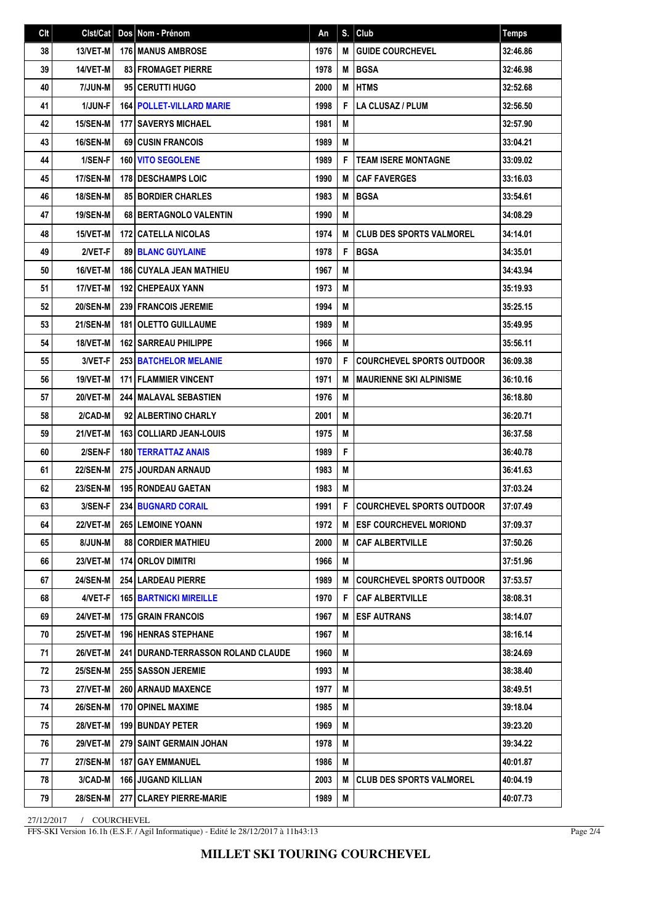| Clt | Clst/Cat        | Dos Nom - Prénom                            | An   | S. | Club                               | <b>Temps</b> |
|-----|-----------------|---------------------------------------------|------|----|------------------------------------|--------------|
| 38  | 13/VET-M        | <b>176 MANUS AMBROSE</b>                    | 1976 | M  | <b>GUIDE COURCHEVEL</b>            | 32:46.86     |
| 39  | 14/VET-M        | <b>83 FROMAGET PIERRE</b>                   | 1978 | M  | <b>BGSA</b>                        | 32:46.98     |
| 40  | 7/JUN-M         | 95 CERUTTI HUGO                             | 2000 | M  | <b>HTMS</b>                        | 32:52.68     |
| 41  | 1/JUN-F         | <b>164 POLLET-VILLARD MARIE</b>             | 1998 | F  | LA CLUSAZ / PLUM                   | 32:56.50     |
| 42  | 15/SEN-M        | <b>177 SAVERYS MICHAEL</b>                  | 1981 | M  |                                    | 32:57.90     |
| 43  | 16/SEN-M        | <b>69 CUSIN FRANCOIS</b>                    | 1989 | M  |                                    | 33:04.21     |
| 44  | 1/SEN-F         | <b>160 VITO SEGOLENE</b>                    | 1989 | F  | <b>TEAM ISERE MONTAGNE</b>         | 33:09.02     |
| 45  | 17/SEN-M        | 178 DESCHAMPS LOIC                          | 1990 | М  | <b>CAF FAVERGES</b>                | 33:16.03     |
| 46  | 18/SEN-M        | <b>85 BORDIER CHARLES</b>                   | 1983 | M  | <b>BGSA</b>                        | 33:54.61     |
| 47  | 19/SEN-M        | <b>68 BERTAGNOLO VALENTIN</b>               | 1990 | M  |                                    | 34:08.29     |
| 48  | 15/VET-M        | <b>172   CATELLA NICOLAS</b>                | 1974 | M  | <b>CLUB DES SPORTS VALMOREL</b>    | 34:14.01     |
| 49  | 2/VET-F         | <b>89 BLANC GUYLAINE</b>                    | 1978 | F  | <b>BGSA</b>                        | 34:35.01     |
| 50  | 16/VET-M        | 186 CUYALA JEAN MATHIEU                     | 1967 | M  |                                    | 34:43.94     |
| 51  | 17/VET-M        | <b>192 CHEPEAUX YANN</b>                    | 1973 | M  |                                    | 35:19.93     |
| 52  | <b>20/SEN-M</b> | <b>239 FRANCOIS JEREMIE</b>                 | 1994 | M  |                                    | 35:25.15     |
| 53  | <b>21/SEN-M</b> | 181 OLETTO GUILLAUME                        | 1989 | M  |                                    | 35:49.95     |
| 54  | 18/VET-M        | <b>162   SARREAU PHILIPPE</b>               | 1966 | M  |                                    | 35:56.11     |
| 55  | 3/VET-F         | <b>253 BATCHELOR MELANIE</b>                | 1970 | F  | <b>COURCHEVEL SPORTS OUTDOOR</b>   | 36:09.38     |
| 56  | 19/VET-M        | <b>171 FLAMMIER VINCENT</b>                 | 1971 | M  | <b>MAURIENNE SKI ALPINISME</b>     | 36:10.16     |
| 57  | 20/VET-M        | <b>244 MALAVAL SEBASTIEN</b>                | 1976 | M  |                                    | 36:18.80     |
| 58  | 2/CAD-M         | 92 ALBERTINO CHARLY                         | 2001 | M  |                                    | 36:20.71     |
| 59  | 21/VET-M        | <b>163 COLLIARD JEAN-LOUIS</b>              | 1975 | M  |                                    | 36:37.58     |
| 60  | 2/SEN-F         | <b>180 TERRATTAZ ANAIS</b>                  | 1989 | F  |                                    | 36:40.78     |
| 61  | <b>22/SEN-M</b> | <b>275 JOURDAN ARNAUD</b>                   | 1983 | M  |                                    | 36:41.63     |
| 62  | <b>23/SEN-M</b> | <b>195 RONDEAU GAETAN</b>                   | 1983 | M  |                                    | 37:03.24     |
| 63  | 3/SEN-F         | <b>234 BUGNARD CORAIL</b>                   | 1991 | F  | <b>COURCHEVEL SPORTS OUTDOOR</b>   | 37:07.49     |
| 64  | 22/VET-M        | <b>265 LEMOINE YOANN</b>                    | 1972 |    | M <b>ESF COURCHEVEL MORIOND</b>    | 37:09.37     |
| 65  | 8/JUN-M         | <b>88 CORDIER MATHIEU</b>                   | 2000 | М  | CAF ALBERTVILLE                    | 37:50.26     |
| 66  | 23/VET-M        | 174 ORLOV DIMITRI                           | 1966 | M  |                                    | 37:51.96     |
| 67  | <b>24/SEN-M</b> | 254 LARDEAU PIERRE                          | 1989 | M  | <b>I COURCHEVEL SPORTS OUTDOOR</b> | 37:53.57     |
| 68  | 4/VET-F         | <b>165 BARTNICKI MIREILLE</b>               | 1970 | F  | CAF ALBERTVILLE                    | 38:08.31     |
| 69  | 24/VET-M        | <b>175 GRAIN FRANCOIS</b>                   | 1967 | M  | <b>ESF AUTRANS</b>                 | 38:14.07     |
| 70  | <b>25/VET-M</b> | <b>196 HENRAS STEPHANE</b>                  | 1967 | M  |                                    | 38:16.14     |
| 71  | 26/VET-M        | <b>241 I DURAND-TERRASSON ROLAND CLAUDE</b> | 1960 | M  |                                    | 38:24.69     |
| 72  | 25/SEN-M        | 255 SASSON JEREMIE                          | 1993 | M  |                                    | 38:38.40     |
| 73  | 27/VET-M        | <b>260   ARNAUD MAXENCE</b>                 | 1977 | M  |                                    | 38:49.51     |
| 74  | <b>26/SEN-M</b> | 170 OPINEL MAXIME                           | 1985 | M  |                                    | 39:18.04     |
| 75  | 28/VET-M        | <b>199 BUNDAY PETER</b>                     | 1969 | М  |                                    | 39:23.20     |
| 76  | <b>29/VET-M</b> | 279 SAINT GERMAIN JOHAN                     | 1978 | M  |                                    | 39:34.22     |
| 77  | <b>27/SEN-M</b> | <b>187   GAY EMMANUEL</b>                   | 1986 | М  |                                    | 40:01.87     |
| 78  | 3/CAD-M         | <b>166 JUGAND KILLIAN</b>                   | 2003 | M  | CLUB DES SPORTS VALMOREL           | 40:04.19     |
| 79  | <b>28/SEN-M</b> | 277 CLAREY PIERRE-MARIE                     | 1989 | M  |                                    | 40:07.73     |

27/12/2017 / COURCHEVEL

FFS-SKI Version 16.1h (E.S.F. / Agil Informatique) - Edité le 28/12/2017 à 11h43:13

Page 2/4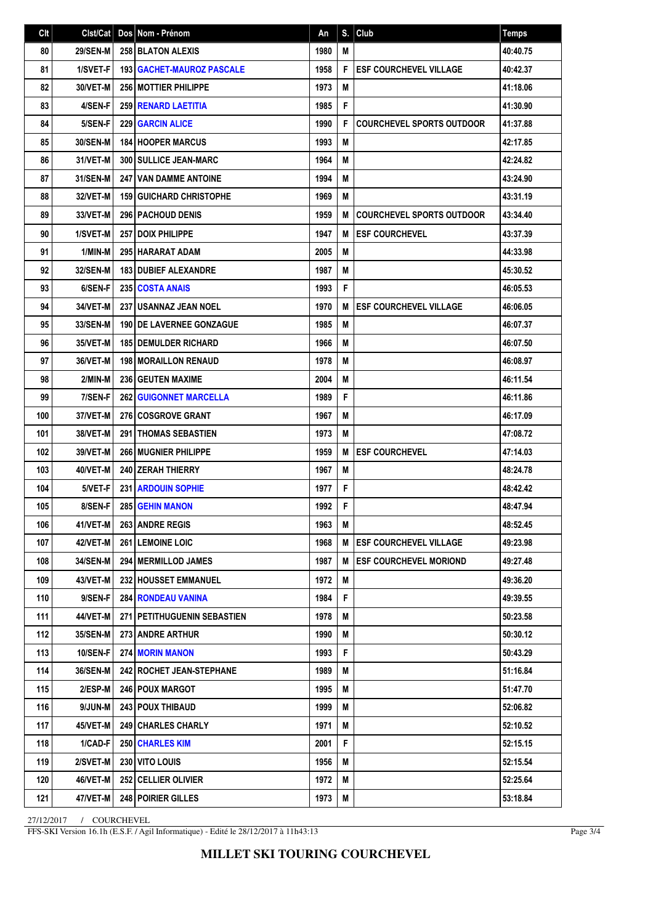| Clt | Clst/Cat        | Dos Nom - Prénom                   | An   |   | $S.$ Club                        | <b>Temps</b> |
|-----|-----------------|------------------------------------|------|---|----------------------------------|--------------|
| 80  | <b>29/SEN-M</b> | 258 BLATON ALEXIS                  | 1980 | M |                                  | 40:40.75     |
| 81  | 1/SVET-F        | <b>193   GACHET-MAUROZ PASCALE</b> | 1958 | F | <b>ESF COURCHEVEL VILLAGE</b>    | 40:42.37     |
| 82  | 30/VET-M        | <b>256 MOTTIER PHILIPPE</b>        | 1973 | M |                                  | 41:18.06     |
| 83  | 4/SEN-F         | <b>259 RENARD LAETITIA</b>         | 1985 | F |                                  | 41:30.90     |
| 84  | 5/SEN-F         | <b>229 GARCIN ALICE</b>            | 1990 | F | <b>COURCHEVEL SPORTS OUTDOOR</b> | 41:37.88     |
| 85  | 30/SEN-M        | <b>184 HOOPER MARCUS</b>           | 1993 | M |                                  | 42:17.85     |
| 86  | 31/VET-M        | 300 SULLICE JEAN-MARC              | 1964 | M |                                  | 42:24.82     |
| 87  | 31/SEN-M        | <b>247 I VAN DAMME ANTOINE</b>     | 1994 | M |                                  | 43:24.90     |
| 88  | 32/VET-M        | <b>159 GUICHARD CHRISTOPHE</b>     | 1969 | M |                                  | 43:31.19     |
| 89  | 33/VET-M        | <b>296   PACHOUD DENIS</b>         | 1959 | M | <b>COURCHEVEL SPORTS OUTDOOR</b> | 43:34.40     |
| 90  | 1/SVET-M        | <b>257   DOIX PHILIPPE</b>         | 1947 | M | <b>ESF COURCHEVEL</b>            | 43:37.39     |
| 91  | 1/MIN-M         | 295 HARARAT ADAM                   | 2005 | M |                                  | 44:33.98     |
| 92  | 32/SEN-M        | <b>183 DUBIEF ALEXANDRE</b>        | 1987 | M |                                  | 45:30.52     |
| 93  | 6/SEN-F         | 235 COSTA ANAIS                    | 1993 | F |                                  | 46:05.53     |
| 94  | 34/VET-M        | 237 USANNAZ JEAN NOEL              | 1970 | M | <b>ESF COURCHEVEL VILLAGE</b>    | 46:06.05     |
| 95  | 33/SEN-M        | <b>190 IDE LAVERNEE GONZAGUE</b>   | 1985 | M |                                  | 46:07.37     |
| 96  | 35/VET-M        | <b>185 DEMULDER RICHARD</b>        | 1966 | M |                                  | 46:07.50     |
| 97  | 36/VET-M        | <b>198 MORAILLON RENAUD</b>        | 1978 | M |                                  | 46:08.97     |
| 98  | 2/MIN-M         | <b>236 GEUTEN MAXIME</b>           | 2004 | M |                                  | 46:11.54     |
| 99  | 7/SEN-F         | <b>262 GUIGONNET MARCELLA</b>      | 1989 | F |                                  | 46:11.86     |
| 100 | 37/VET-M        | <b>276 COSGROVE GRANT</b>          | 1967 | M |                                  | 46:17.09     |
| 101 | 38/VET-M        | <b>291 THOMAS SEBASTIEN</b>        | 1973 | M |                                  | 47:08.72     |
| 102 | 39/VET-M        | <b>266 MUGNIER PHILIPPE</b>        | 1959 | M | <b>ESF COURCHEVEL</b>            | 47:14.03     |
| 103 | 40/VET-M        | <b>240 ZERAH THIERRY</b>           | 1967 | M |                                  | 48:24.78     |
| 104 | 5/VET-F         | 231 ARDOUIN SOPHIE                 | 1977 | F |                                  | 48:42.42     |
| 105 | 8/SEN-F         | 285 GEHIN MANON                    | 1992 | F |                                  | 48:47.94     |
| 106 | 41/VET-M        | 263 ANDRE REGIS                    | 1963 | M |                                  | 48:52.45     |
| 107 | 42/VET-M        | 261 LEMOINE LOIC                   | 1968 | M | <b>IESF COURCHEVEL VILLAGE</b>   | 49:23.98     |
| 108 | 34/SEN-M        | 294 MERMILLOD JAMES                | 1987 | M | <b>ESF COURCHEVEL MORIOND</b>    | 49:27.48     |
| 109 | 43/VET-M        | 232 HOUSSET EMMANUEL               | 1972 | M |                                  | 49:36.20     |
| 110 | 9/SEN-F         | 284 RONDEAU VANINA                 | 1984 | F |                                  | 49:39.55     |
| 111 | 44/VET-M        | <b>271 PETITHUGUENIN SEBASTIEN</b> | 1978 | M |                                  | 50:23.58     |
| 112 | 35/SEN-M        | 273 ANDRE ARTHUR                   | 1990 | M |                                  | 50:30.12     |
| 113 | <b>10/SEN-F</b> | <b>274 MORIN MANON</b>             | 1993 | F |                                  | 50:43.29     |
| 114 | 36/SEN-M        | <b>242 ROCHET JEAN-STEPHANE</b>    | 1989 | M |                                  | 51:16.84     |
| 115 | 2/ESP-M         | <b>246   POUX MARGOT</b>           | 1995 | M |                                  | 51:47.70     |
| 116 | 9/JUN-M         | 243 POUX THIBAUD                   | 1999 | M |                                  | 52:06.82     |
| 117 | 45/VET-M        | <b>249 CHARLES CHARLY</b>          | 1971 | M |                                  | 52:10.52     |
| 118 | 1/CAD-F         | <b>250 CHARLES KIM</b>             | 2001 | F |                                  | 52:15.15     |
| 119 | 2/SVET-M        | 230 VITO LOUIS                     | 1956 | M |                                  | 52:15.54     |
| 120 | 46/VET-M        | 252 CELLIER OLIVIER                | 1972 | M |                                  | 52:25.64     |
| 121 | 47/VET-M        | 248 POIRIER GILLES                 | 1973 | M |                                  | 53:18.84     |

27/12/2017 / COURCHEVEL

FFS-SKI Version 16.1h (E.S.F. / Agil Informatique) - Edité le 28/12/2017 à 11h43:13

Page 3/4